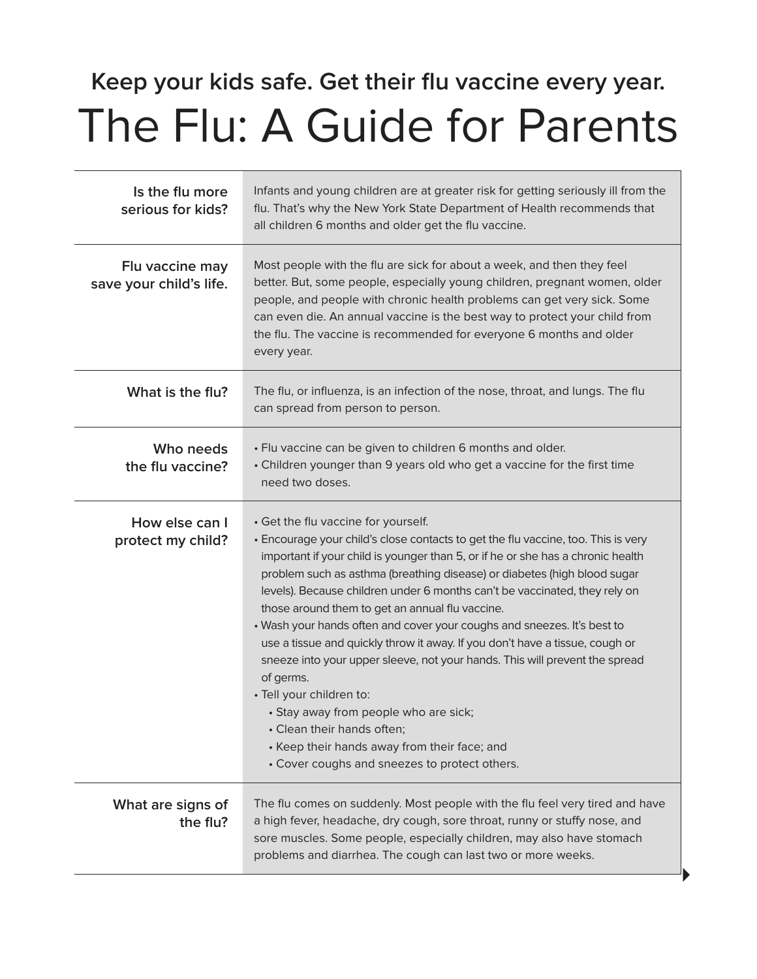## **Keep your kids safe. Get their flu vaccine every year.** The Flu: A Guide for Parents

| Is the flu more<br>serious for kids?       | Infants and young children are at greater risk for getting seriously ill from the<br>flu. That's why the New York State Department of Health recommends that<br>all children 6 months and older get the flu vaccine.                                                                                                                                                                                                                                                                                                                                                                                                                                                                                                                                                                                                                                                                |
|--------------------------------------------|-------------------------------------------------------------------------------------------------------------------------------------------------------------------------------------------------------------------------------------------------------------------------------------------------------------------------------------------------------------------------------------------------------------------------------------------------------------------------------------------------------------------------------------------------------------------------------------------------------------------------------------------------------------------------------------------------------------------------------------------------------------------------------------------------------------------------------------------------------------------------------------|
| Flu vaccine may<br>save your child's life. | Most people with the flu are sick for about a week, and then they feel<br>better. But, some people, especially young children, pregnant women, older<br>people, and people with chronic health problems can get very sick. Some<br>can even die. An annual vaccine is the best way to protect your child from<br>the flu. The vaccine is recommended for everyone 6 months and older<br>every year.                                                                                                                                                                                                                                                                                                                                                                                                                                                                                 |
| What is the flu?                           | The flu, or influenza, is an infection of the nose, throat, and lungs. The flu<br>can spread from person to person.                                                                                                                                                                                                                                                                                                                                                                                                                                                                                                                                                                                                                                                                                                                                                                 |
| Who needs<br>the flu vaccine?              | • Flu vaccine can be given to children 6 months and older.<br>• Children younger than 9 years old who get a vaccine for the first time<br>need two doses.                                                                                                                                                                                                                                                                                                                                                                                                                                                                                                                                                                                                                                                                                                                           |
| How else can I<br>protect my child?        | · Get the flu vaccine for yourself.<br>• Encourage your child's close contacts to get the flu vaccine, too. This is very<br>important if your child is younger than 5, or if he or she has a chronic health<br>problem such as asthma (breathing disease) or diabetes (high blood sugar<br>levels). Because children under 6 months can't be vaccinated, they rely on<br>those around them to get an annual flu vaccine.<br>• Wash your hands often and cover your coughs and sneezes. It's best to<br>use a tissue and quickly throw it away. If you don't have a tissue, cough or<br>sneeze into your upper sleeve, not your hands. This will prevent the spread<br>of germs.<br>· Tell your children to:<br>· Stay away from people who are sick;<br>• Clean their hands often;<br>• Keep their hands away from their face; and<br>• Cover coughs and sneezes to protect others. |
| What are signs of<br>the flu?              | The flu comes on suddenly. Most people with the flu feel very tired and have<br>a high fever, headache, dry cough, sore throat, runny or stuffy nose, and<br>sore muscles. Some people, especially children, may also have stomach<br>problems and diarrhea. The cough can last two or more weeks.                                                                                                                                                                                                                                                                                                                                                                                                                                                                                                                                                                                  |